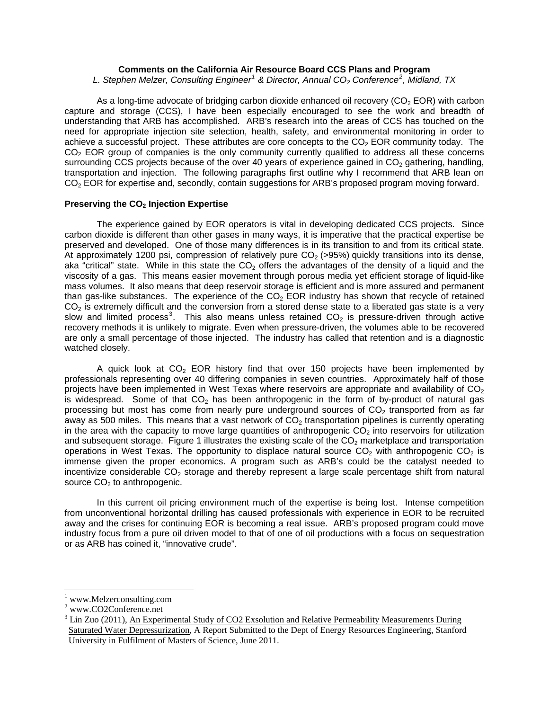# **Comments on the California Air Resource Board CCS Plans and Program**

*L. Stephen Melzer, Consulting Engineer[1](#page-0-0) & Director, Annual CO2 Conference[2](#page-0-1) , Midland, TX* 

As a long-time advocate of bridging carbon dioxide enhanced oil recovery  $(CO<sub>2</sub> EOR)$  with carbon capture and storage (CCS), I have been especially encouraged to see the work and breadth of understanding that ARB has accomplished. ARB's research into the areas of CCS has touched on the need for appropriate injection site selection, health, safety, and environmental monitoring in order to achieve a successful project. These attributes are core concepts to the  $CO<sub>2</sub> EOR$  community today. The  $CO<sub>2</sub>$  EOR group of companies is the only community currently qualified to address all these concerns surrounding CCS projects because of the over 40 years of experience gained in  $CO<sub>2</sub>$  gathering, handling, transportation and injection. The following paragraphs first outline why I recommend that ARB lean on CO<sub>2</sub> EOR for expertise and, secondly, contain suggestions for ARB's proposed program moving forward.

#### **Preserving the CO<sub>2</sub> Injection Expertise**

 The experience gained by EOR operators is vital in developing dedicated CCS projects. Since carbon dioxide is different than other gases in many ways, it is imperative that the practical expertise be preserved and developed. One of those many differences is in its transition to and from its critical state. At approximately 1200 psi, compression of relatively pure  $CO<sub>2</sub>$  (>95%) quickly transitions into its dense, aka "critical" state. While in this state the  $CO<sub>2</sub>$  offers the advantages of the density of a liquid and the viscosity of a gas. This means easier movement through porous media yet efficient storage of liquid-like mass volumes. It also means that deep reservoir storage is efficient and is more assured and permanent than gas-like substances. The experience of the  $CO<sub>2</sub>$  EOR industry has shown that recycle of retained  $CO<sub>2</sub>$  is extremely difficult and the conversion from a stored dense state to a liberated gas state is a very slow and limited process<sup>[3](#page-0-2)</sup>. This also means unless retained  $CO<sub>2</sub>$  is pressure-driven through active recovery methods it is unlikely to migrate. Even when pressure-driven, the volumes able to be recovered are only a small percentage of those injected. The industry has called that retention and is a diagnostic watched closely.

A quick look at  $CO<sub>2</sub>$  EOR history find that over 150 projects have been implemented by professionals representing over 40 differing companies in seven countries. Approximately half of those projects have been implemented in West Texas where reservoirs are appropriate and availability of  $CO<sub>2</sub>$ is widespread. Some of that  $CO<sub>2</sub>$  has been anthropogenic in the form of by-product of natural gas processing but most has come from nearly pure underground sources of  $CO<sub>2</sub>$  transported from as far away as 500 miles. This means that a vast network of  $CO<sub>2</sub>$  transportation pipelines is currently operating in the area with the capacity to move large quantities of anthropogenic  $CO<sub>2</sub>$  into reservoirs for utilization and subsequent storage. Figure 1 illustrates the existing scale of the  $CO<sub>2</sub>$  marketplace and transportation operations in West Texas. The opportunity to displace natural source  $CO<sub>2</sub>$  with anthropogenic  $CO<sub>2</sub>$  is immense given the proper economics. A program such as ARB's could be the catalyst needed to incentivize considerable  $CO<sub>2</sub>$  storage and thereby represent a large scale percentage shift from natural source  $CO<sub>2</sub>$  to anthropogenic.

In this current oil pricing environment much of the expertise is being lost. Intense competition from unconventional horizontal drilling has caused professionals with experience in EOR to be recruited away and the crises for continuing EOR is becoming a real issue. ARB's proposed program could move industry focus from a pure oil driven model to that of one of oil productions with a focus on sequestration or as ARB has coined it, "innovative crude".

 $\overline{a}$ 

<span id="page-0-0"></span><sup>1</sup> www.Melzerconsulting.com

<span id="page-0-1"></span><sup>2</sup> www.CO2Conference.net

<span id="page-0-2"></span> $3$  Lin Zuo (2011), An Experimental Study of CO2 Exsolution and Relative Permeability Measurements During Saturated Water Depressurization, A Report Submitted to the Dept of Energy Resources Engineering, Stanford University in Fulfilment of Masters of Science, June 2011.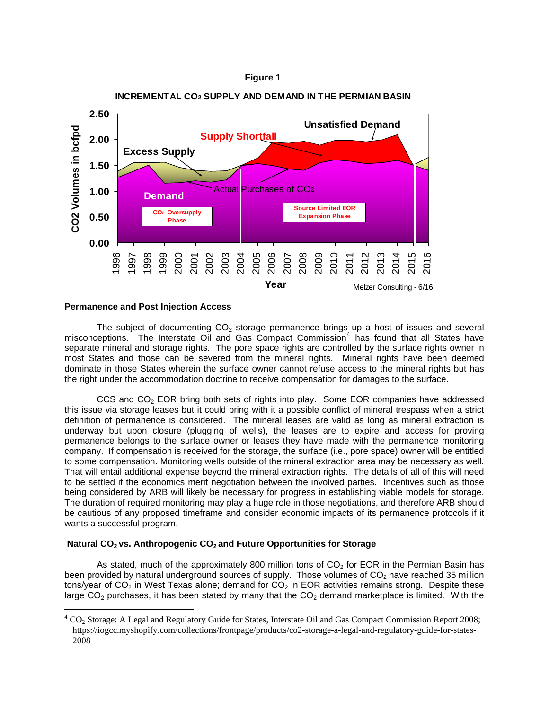

#### **Permanence and Post Injection Access**

 $\overline{a}$ 

The subject of documenting  $CO<sub>2</sub>$  storage permanence brings up a host of issues and several misconceptions. The Interstate Oil and Gas Compact Commission<sup>[4](#page-1-0)</sup> has found that all States have separate mineral and storage rights. The pore space rights are controlled by the surface rights owner in most States and those can be severed from the mineral rights. Mineral rights have been deemed dominate in those States wherein the surface owner cannot refuse access to the mineral rights but has the right under the accommodation doctrine to receive compensation for damages to the surface.

CCS and CO<sub>2</sub> EOR bring both sets of rights into play. Some EOR companies have addressed this issue via storage leases but it could bring with it a possible conflict of mineral trespass when a strict definition of permanence is considered. The mineral leases are valid as long as mineral extraction is underway but upon closure (plugging of wells), the leases are to expire and access for proving permanence belongs to the surface owner or leases they have made with the permanence monitoring company. If compensation is received for the storage, the surface (i.e., pore space) owner will be entitled to some compensation. Monitoring wells outside of the mineral extraction area may be necessary as well. That will entail additional expense beyond the mineral extraction rights. The details of all of this will need to be settled if the economics merit negotiation between the involved parties. Incentives such as those being considered by ARB will likely be necessary for progress in establishing viable models for storage. The duration of required monitoring may play a huge role in those negotiations, and therefore ARB should be cautious of any proposed timeframe and consider economic impacts of its permanence protocols if it wants a successful program.

## Natural CO<sub>2</sub> vs. Anthropogenic CO<sub>2</sub> and Future Opportunities for Storage

As stated, much of the approximately 800 million tons of  $CO<sub>2</sub>$  for EOR in the Permian Basin has been provided by natural underground sources of supply. Those volumes of  $CO<sub>2</sub>$  have reached 35 million tons/year of  $CO<sub>2</sub>$  in West Texas alone; demand for  $CO<sub>2</sub>$  in EOR activities remains strong. Despite these large  $CO<sub>2</sub>$  purchases, it has been stated by many that the  $CO<sub>2</sub>$  demand marketplace is limited. With the

<span id="page-1-0"></span> ${}^{4}$  CO<sub>2</sub> Storage: A Legal and Regulatory Guide for States, Interstate Oil and Gas Compact Commission Report 2008; https://iogcc.myshopify.com/collections/frontpage/products/co2-storage-a-legal-and-regulatory-guide-for-states-2008